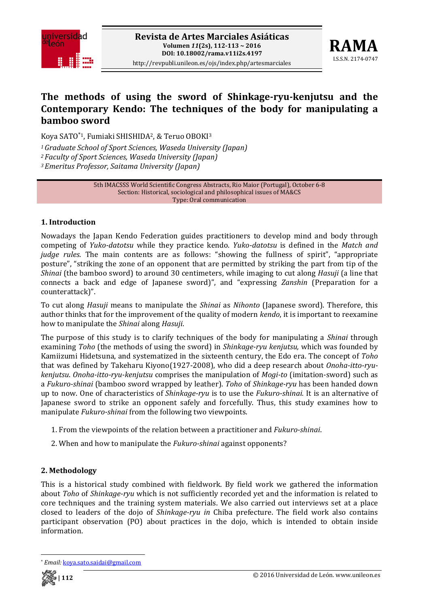



# **The methods of using the sword of Shinkageryukenjutsu and the Contemporary Kendo: The techniques of the body for manipulating a bamboo sword**

Koya SATO\*1, Fumiaki SHISHIDA2, & Teruo OBOKI3

*1Graduate School of Sport Sciences, Waseda University (Japan)*

*<sup>2</sup> Faculty of Sport Sciences, Waseda University (Japan)* 

*<sup>3</sup> Emeritus Professor, Saitama University (Japan)*

5th IMACSSS World Scientific Congress Abstracts, Rio Maior (Portugal), October 6‐8 Section: Historical, sociological and philosophical issues of MA&CS Type: Oral communication

## **1. Introduction**

Nowadays the Japan Kendo Federation guides practitioners to develop mind and body through competing of *Yukodatotsu* while they practice kendo. *Yukodatotsu* is defined in the *Match and judge rules*. The main contents are as follows: "showing the fullness of spirit", "appropriate posture", "striking the zone of an opponent that are permitted by striking the part from tip of the *Shinai* (the bamboo sword) to around 30 centimeters, while imaging to cut along *Hasuji* (a line that connects a back and edge of Japanese sword)", and "expressing *Zanshin* (Preparation for a counterattack)".

To cut along *Hasuji* means to manipulate the *Shinai* as *Nihonto* (Japanese sword). Therefore, this author thinks that for the improvement of the quality of modern *kendo*, it is important to reexamine how to manipulate the *Shinai* along *Hasuji*.

The purpose of this study is to clarify techniques of the body for manipulating a *Shinai* through examining *Toho* (the methods of using the sword) in *Shinkageryu kenjutsu,* which was founded by Kamiizumi Hidetsuna, and systematized in the sixteenth century, the Edo era. The concept of *Toho* that was defined by Takeharu Kiyono(1927‐2008), who did a deep research about *Onohaittoryukenjutsu*. *Onohaittoryukenjutsu* comprises the manipulation of *Mogito* (imitation‐sword) such as a *Fukuroshinai* (bamboo sword wrapped by leather). *Toho* of *Shinkageryu* has been handed down up to now. One of characteristics of *Shinkageryu* is to use the *Fukuroshinai.* It is an alternative of Japanese sword to strike an opponent safely and forcefully. Thus, this study examines how to manipulate *Fukuroshinai* from the following two viewpoints.

- 1. From the viewpoints of the relation between a practitioner and *Fukuroshinai*.
- 2. When and how to manipulate the *Fukuroshinai* against opponents?

## **2. Methodology**

This is a historical study combined with fieldwork. By field work we gathered the information about *Toho* of *Shinkageryu* which is not sufficiently recorded yet and the information is related to core techniques and the training system materials. We also carried out interviews set at a place closed to leaders of the dojo of *Shinkageryu in* Chiba prefecture. The field work also contains participant observation (PO) about practices in the dojo, which is intended to obtain inside information.

 \* *Email:* koya.sato.saidai@gmail.com